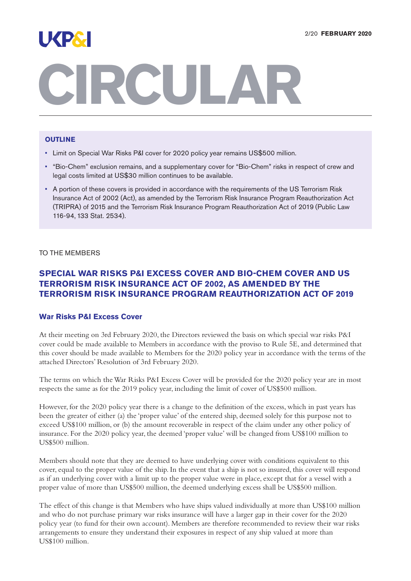

# **RCULA**

## **OUTLINE**

- Limit on Special War Risks P&I cover for 2020 policy year remains US\$500 million.
- "Bio-Chem" exclusion remains, and a supplementary cover for "Bio-Chem" risks in respect of crew and legal costs limited at US\$30 million continues to be available.
- A portion of these covers is provided in accordance with the requirements of the US Terrorism Risk Insurance Act of 2002 (Act), as amended by the Terrorism Risk Insurance Program Reauthorization Act (TRIPRA) of 2015 and the Terrorism Risk Insurance Program Reauthorization Act of 2019 (Public Law 116-94, 133 Stat. 2534).

TO THE MEMBERS

# **SPECIAL WAR RISKS P&I EXCESS COVER AND BIO-CHEM COVER AND US TERRORISM RISK INSURANCE ACT OF 2002, AS AMENDED BY THE TERRORISM RISK INSURANCE PROGRAM REAUTHORIZATION ACT OF 2019**

## **War Risks P&I Excess Cover**

At their meeting on 3rd February 2020, the Directors reviewed the basis on which special war risks P&I cover could be made available to Members in accordance with the proviso to Rule 5E, and determined that this cover should be made available to Members for the 2020 policy year in accordance with the terms of the attached Directors' Resolution of 3rd February 2020.

The terms on which theWar Risks P&I Excess Cover will be provided for the 2020 policy year are in most respects the same as for the 2019 policy year, including the limit of cover of US\$500 million.

However, for the 2020 policy year there is a change to the definition of the excess, which in past years has been the greater of either (a) the 'proper value' of the entered ship, deemed solely for this purpose not to exceed US\$100 million, or (b) the amount recoverable in respect of the claim under any other policy of insurance. For the 2020 policy year, the deemed 'proper value' will be changed from US\$100 million to US\$500 million.

Members should note that they are deemed to have underlying cover with conditions equivalent to this cover, equal to the proper value of the ship. In the event that a ship is not so insured, this cover will respond as if an underlying cover with a limit up to the proper value were in place, except that for a vessel with a proper value of more than US\$500 million, the deemed underlying excess shall be US\$500 million.

The effect of this change is that Members who have ships valued individually at more than US\$100 million and who do not purchase primary war risks insurance will have a larger gap in their cover for the 2020 policy year (to fund for their own account). Members are therefore recommended to review their war risks arrangements to ensure they understand their exposures in respect of any ship valued at more than US\$100 million.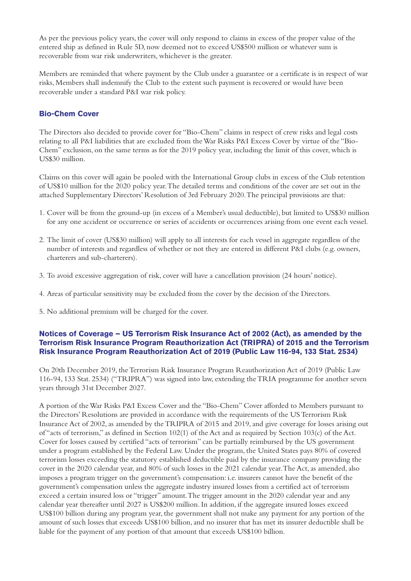As per the previous policy years, the cover will only respond to claims in excess of the proper value of the entered ship as defined in Rule 5D, now deemed not to exceed US\$500 million or whatever sum is recoverable from war risk underwriters, whichever is the greater.

Members are reminded that where payment by the Club under a guarantee or a certificate is in respect of war risks, Members shall indemnify the Club to the extent such payment is recovered or would have been recoverable under a standard P&I war risk policy.

## **Bio-Chem Cover**

The Directors also decided to provide cover for "Bio-Chem" claims in respect of crew risks and legal costs relating to all P&I liabilities that are excluded from theWar Risks P&I Excess Cover by virtue of the "Bio-Chem" exclusion, on the same terms as for the 2019 policy year, including the limit of this cover, which is US\$30 million.

Claims on this cover will again be pooled with the International Group clubs in excess of the Club retention of US\$10 million for the 2020 policy year.The detailed terms and conditions of the cover are set out in the attached Supplementary Directors' Resolution of 3rd February 2020.The principal provisions are that:

- 1. Cover will be from the ground-up (in excess of a Member's usual deductible), but limited to US\$30 million for any one accident or occurrence or series of accidents or occurrences arising from one event each vessel.
- 2. The limit of cover (US\$30 million) will apply to all interests for each vessel in aggregate regardless of the number of interests and regardless of whether or not they are entered in different P&I clubs (e.g. owners, charterers and sub-charterers).
- 3. To avoid excessive aggregation of risk, cover will have a cancellation provision (24 hours' notice).
- 4. Areas of particular sensitivity may be excluded from the cover by the decision of the Directors.
- 5. No additional premium will be charged for the cover.

## **Notices of Coverage – US Terrorism Risk Insurance Act of 2002 (Act), as amended by the Terrorism Risk Insurance Program Reauthorization Act (TRIPRA) of 2015 and the Terrorism Risk Insurance Program Reauthorization Act of 2019 (Public Law 116-94, 133 Stat. 2534)**

On 20th December 2019, the Terrorism Risk Insurance Program Reauthorization Act of 2019 (Public Law 116-94, 133 Stat. 2534) ("TRIPRA") was signed into law, extending theTRIA programme for another seven years through 31st December 2027.

A portion of theWar Risks P&I Excess Cover and the "Bio-Chem" Cover afforded to Members pursuant to the Directors' Resolutions are provided in accordance with the requirements of the US Terrorism Risk Insurance Act of 2002, as amended by the TRIPRA of 2015 and 2019, and give coverage for losses arising out of "acts of terrorism," as defined in Section 102(1) of the Act and as required by Section 103(c) of the Act. Cover for losses caused by certified "acts of terrorism" can be partially reimbursed by the US government under a program established by the Federal Law. Under the program, the United States pays 80% of covered terrorism losses exceeding the statutory established deductible paid by the insurance company providing the cover in the 2020 calendar year, and 80% of such losses in the 2021 calendar year. The Act, as amended, also imposes a program trigger on the government's compensation: i.e. insurers cannot have the benefit of the government's compensation unless the aggregate industry insured losses from a certified act of terrorism exceed a certain insured loss or "trigger" amount.The trigger amount in the 2020 calendar year and any calendar year thereafter until 2027 is US\$200 million. In addition, if the aggregate insured losses exceed US\$100 billion during any program year, the government shall not make any payment for any portion of the amount of such losses that exceeds US\$100 billion,and no insurer that has met its insurer deductible shall be liable for the payment of any portion of that amount that exceeds US\$100 billion.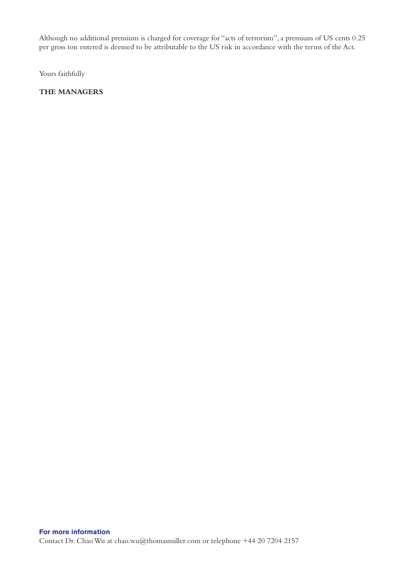Although no additional premium is charged for coverage for "acts of terrorism",a premium of US cents 0.25 per gross ton entered is deemed to be attributable to the US risk in accordance with the terms of the Act.

Yours faithfully

## **THE MANAGERS**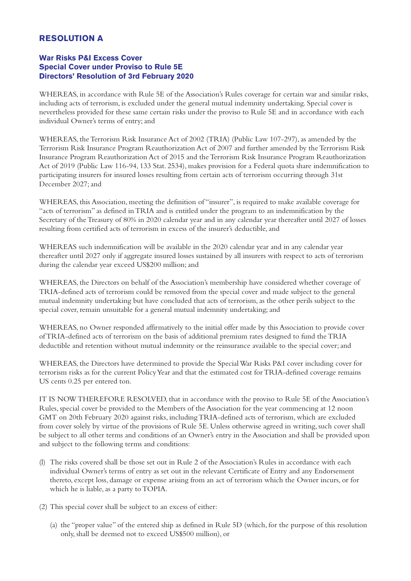# **RESOLUTION A**

## **War Risks P&I Excess Cover Special Cover under Proviso to Rule 5E Directors' Resolution of 3rd February 2020**

WHEREAS, in accordance with Rule 5E of the Association's Rules coverage for certain war and similar risks, including acts of terrorism, is excluded under the general mutual indemnity undertaking. Special cover is nevertheless provided for these same certain risks under the proviso to Rule 5E and in accordance with each individual Owner's terms of entry; and

WHEREAS, the Terrorism Risk Insurance Act of 2002 (TRIA) (Public Law 107-297), as amended by the Terrorism Risk Insurance Program Reauthorization Act of 2007 and further amended by the Terrorism Risk Insurance Program Reauthorization Act of 2015 and the Terrorism Risk Insurance Program Reauthorization Act of 2019 (Public Law 116-94, 133 Stat. 2534), makes provision for a Federal quota share indemnification to participating insurers for insured losses resulting from certain acts of terrorism occurring through 31st December 2027; and

WHEREAS, this Association, meeting the definition of "insurer", is required to make available coverage for "acts of terrorism" as defined inTRIA and is entitled under the program to an indemnification by the Secretary of theTreasury of 80% in 2020 calendar year and in any calendar year thereafter until 2027 of losses resulting from certified acts of terrorism in excess of the insurer's deductible, and

WHEREAS such indemnification will be available in the 2020 calendar year and in any calendar year thereafter until 2027 only if aggregate insured losses sustained by all insurers with respect to acts of terrorism during the calendar year exceed US\$200 million; and

WHEREAS, the Directors on behalf of the Association's membership have considered whether coverage of TRIA-defined acts of terrorism could be removed from the special cover and made subject to the general mutual indemnity undertaking but have concluded that acts of terrorism, as the other perils subject to the special cover, remain unsuitable for a general mutual indemnity undertaking; and

WHEREAS, no Owner responded affirmatively to the initial offer made by this Association to provide cover ofTRIA-defined acts of terrorism on the basis of additional premium rates designed to fund theTRIA deductible and retention without mutual indemnity or the reinsurance available to the special cover; and

WHEREAS, the Directors have determined to provide the SpecialWar Risks P&I cover including cover for terrorism risks as for the current PolicyYear and that the estimated cost forTRIA-defined coverage remains US cents 0.25 per entered ton.

IT IS NOWTHEREFORE RESOLVED, that in accordance with the proviso to Rule 5E of the Association's Rules, special cover be provided to the Members of the Association for the year commencing at 12 noon GMT on 20th February 2020 against risks, includingTRIA-defined acts of terrorism, which are excluded from cover solely by virtue of the provisions of Rule 5E. Unless otherwise agreed in writing, such cover shall be subject to all other terms and conditions of an Owner's entry in the Association and shall be provided upon and subject to the following terms and conditions:

- (l) The risks covered shall be those set out in Rule 2 of the Association's Rules in accordance with each individual Owner's terms of entry as set out in the relevant Certificate of Entry and any Endorsement thereto, except loss, damage or expense arising from an act of terrorism which the Owner incurs, or for which he is liable, as a party to TOPIA.
- (2) This special cover shall be subject to an excess of either:
	- (a) the "proper value" of the entered ship as defined in Rule 5D (which, for the purpose of this resolution only, shall be deemed not to exceed US\$500 million), or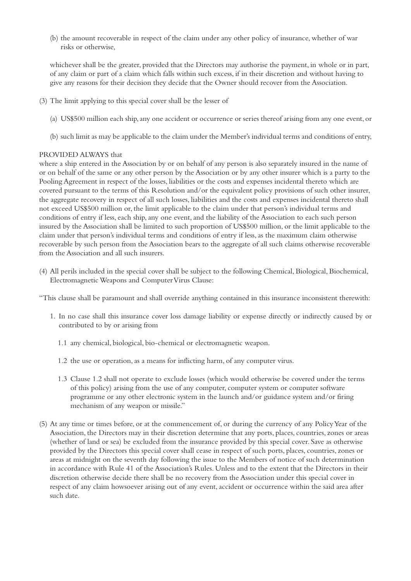(b) the amount recoverable in respect of the claim under any other policy of insurance, whether of war risks or otherwise,

whichever shall be the greater, provided that the Directors may authorise the payment, in whole or in part, of any claim or part of a claim which falls within such excess, if in their discretion and without having to give any reasons for their decision they decide that the Owner should recover from the Association.

- (3) The limit applying to this special cover shall be the lesser of
	- (a) US\$500 million each ship,any one accident or occurrence or series thereof arising from any one event, or
	- (b) such limit as may be applicable to the claim under the Member's individual terms and conditions of entry,

#### PROVIDED ALWAYS that

where a ship entered in the Association by or on behalf of any person is also separately insured in the name of or on behalf of the same or any other person by the Association or by any other insurer which is a party to the Pooling Agreement in respect of the losses, liabilities or the costs and expenses incidental thereto which are covered pursuant to the terms of this Resolution and/or the equivalent policy provisions of such other insurer, the aggregate recovery in respect of all such losses, liabilities and the costs and expenses incidental thereto shall not exceed US\$500 million or, the limit applicable to the claim under that person's individual terms and conditions of entry if less, each ship, any one event, and the liability of the Association to each such person insured by the Association shall be limited to such proportion of US\$500 million, or the limit applicable to the claim under that person's individual terms and conditions of entry if less, as the maximum claim otherwise recoverable by such person from the Association bears to the aggregate of all such claims otherwise recoverable from the Association and all such insurers.

(4) All perils included in the special cover shall be subject to the following Chemical, Biological, Biochemical, ElectromagneticWeapons and ComputerVirus Clause:

"This clause shall be paramount and shall override anything contained in this insurance inconsistent therewith:

- 1. In no case shall this insurance cover loss damage liability or expense directly or indirectly caused by or contributed to by or arising from
	- 1.1 any chemical, biological, bio-chemical or electromagnetic weapon.
	- 1.2 the use or operation, as a means for inflicting harm, of any computer virus.
	- 1.3 Clause 1.2 shall not operate to exclude losses (which would otherwise be covered under the terms of this policy) arising from the use of any computer, computer system or computer software programme or any other electronic system in the launch and/or guidance system and/or firing mechanism of any weapon or missile."
- (5) At any time or times before, or at the commencement of, or during the currency of any PolicyYear of the Association, the Directors may in their discretion determine that any ports, places, countries, zones or areas (whether of land or sea) be excluded from the insurance provided by this special cover. Save as otherwise provided by the Directors this special cover shall cease in respect of such ports, places, countries, zones or areas at midnight on the seventh day following the issue to the Members of notice of such determination in accordance with Rule 41 of the Association's Rules. Unless and to the extent that the Directors in their discretion otherwise decide there shall be no recovery from the Association under this special cover in respect of any claim howsoever arising out of any event, accident or occurrence within the said area after such date.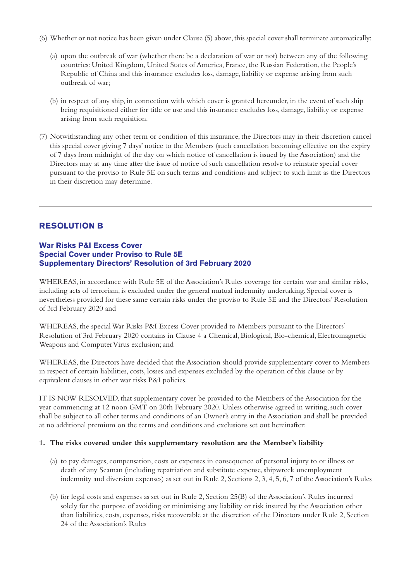- (6) Whether or not notice has been given under Clause (5) above,this special cover shall terminate automatically:
	- (a) upon the outbreak of war (whether there be a declaration of war or not) between any of the following countries: United Kingdom, United States of America, France, the Russian Federation, the People's Republic of China and this insurance excludes loss, damage, liability or expense arising from such outbreak of war;
	- (b) in respect of any ship, in connection with which cover is granted hereunder, in the event of such ship being requisitioned either for title or use and this insurance excludes loss, damage, liability or expense arising from such requisition.
- (7) Notwithstanding any other term or condition of this insurance, the Directors may in their discretion cancel this special cover giving 7 days' notice to the Members (such cancellation becoming effective on the expiry of 7 days from midnight of the day on which notice of cancellation is issued by the Association) and the Directors may at any time after the issue of notice of such cancellation resolve to reinstate special cover pursuant to the proviso to Rule 5E on such terms and conditions and subject to such limit as the Directors in their discretion may determine.

## **RESOLUTION B**

## **War Risks P&I Excess Cover Special Cover under Proviso to Rule 5E Supplementary Directors' Resolution of 3rd February 2020**

WHEREAS, in accordance with Rule 5E of the Association's Rules coverage for certain war and similar risks, including acts of terrorism, is excluded under the general mutual indemnity undertaking. Special cover is nevertheless provided for these same certain risks under the proviso to Rule 5E and the Directors' Resolution of 3rd February 2020 and

WHEREAS, the specialWar Risks P&I Excess Cover provided to Members pursuant to the Directors' Resolution of 3rd February 2020 contains in Clause 4 a Chemical, Biological, Bio-chemical, Electromagnetic Weapons and Computer Virus exclusion; and

WHEREAS, the Directors have decided that the Association should provide supplementary cover to Members in respect of certain liabilities, costs, losses and expenses excluded by the operation of this clause or by equivalent clauses in other war risks P&I policies.

IT IS NOW RESOLVED, that supplementary cover be provided to the Members of the Association for the year commencing at 12 noon GMT on 20th February 2020. Unless otherwise agreed in writing, such cover shall be subject to all other terms and conditions of an Owner's entry in the Association and shall be provided at no additional premium on the terms and conditions and exclusions set out hereinafter:

## **1. The risks covered under this supplementary resolution are the Member's liability**

- (a) to pay damages, compensation, costs or expenses in consequence of personal injury to or illness or death of any Seaman (including repatriation and substitute expense, shipwreck unemployment indemnity and diversion expenses) as set out in Rule 2, Sections 2, 3, 4, 5, 6, 7 of the Association's Rules
- (b) for legal costs and expenses as set out in Rule 2, Section 25(B) of the Association's Rules incurred solely for the purpose of avoiding or minimising any liability or risk insured by the Association other than liabilities, costs, expenses, risks recoverable at the discretion of the Directors under Rule 2, Section 24 of the Association's Rules